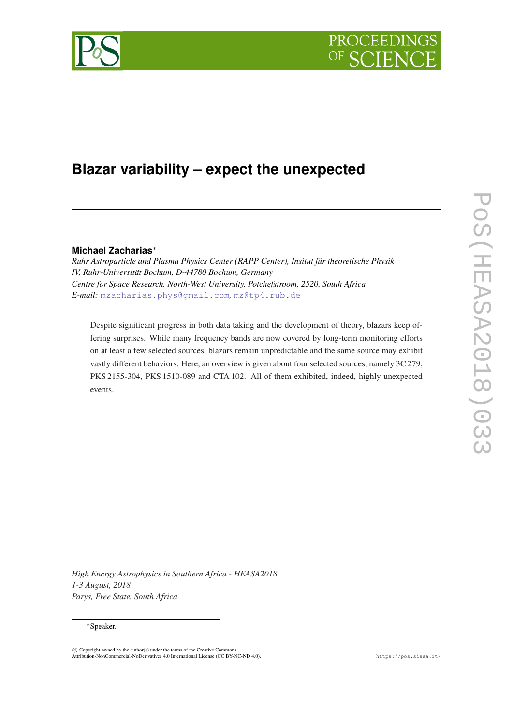



# **Blazar variability – expect the unexpected**

## **Michael Zacharias**<sup>∗</sup>

*Ruhr Astroparticle and Plasma Physics Center (RAPP Center), Insitut für theoretische Physik IV, Ruhr-Universität Bochum, D-44780 Bochum, Germany Centre for Space Research, North-West University, Potchefstroom, 2520, South Africa E-mail:* [mzacharias.phys@gmail.com](mailto:mzacharias.phys@gmail.com)*,* [mz@tp4.rub.de](mailto:mz@tp4.rub.de)

Despite significant progress in both data taking and the development of theory, blazars keep offering surprises. While many frequency bands are now covered by long-term monitoring efforts on at least a few selected sources, blazars remain unpredictable and the same source may exhibit vastly different behaviors. Here, an overview is given about four selected sources, namely 3C 279, PKS 2155-304, PKS 1510-089 and CTA 102. All of them exhibited, indeed, highly unexpected events.

*High Energy Astrophysics in Southern Africa - HEASA2018 1-3 August, 2018 Parys, Free State, South Africa*

#### <sup>∗</sup>Speaker.

 $\overline{c}$  Copyright owned by the author(s) under the terms of the Creative Common Attribution-NonCommercial-NoDerivatives 4.0 International License (CC BY-NC-ND 4.0). https://pos.sissa.it/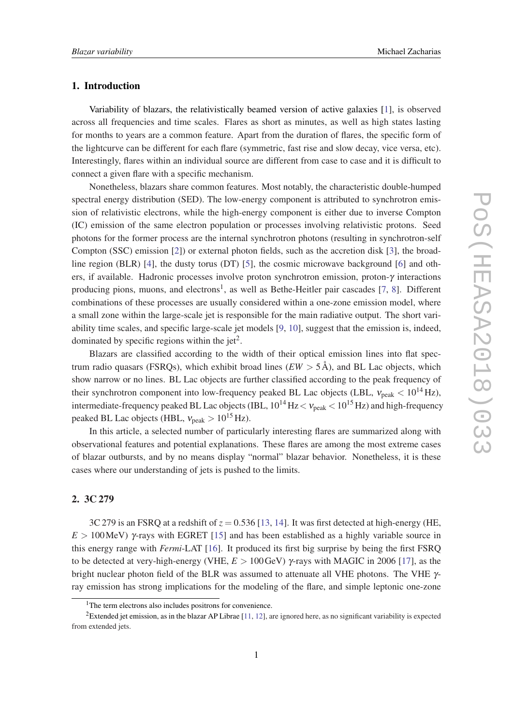### 1. Introduction

Variability of blazars, the relativistically beamed version of active galaxies [[1](#page-7-0)], is observed across all frequencies and time scales. Flares as short as minutes, as well as high states lasting for months to years are a common feature. Apart from the duration of flares, the specific form of the lightcurve can be different for each flare (symmetric, fast rise and slow decay, vice versa, etc). Interestingly, flares within an individual source are different from case to case and it is difficult to connect a given flare with a specific mechanism.

Nonetheless, blazars share common features. Most notably, the characteristic double-humped spectral energy distribution (SED). The low-energy component is attributed to synchrotron emission of relativistic electrons, while the high-energy component is either due to inverse Compton (IC) emission of the same electron population or processes involving relativistic protons. Seed photons for the former process are the internal synchrotron photons (resulting in synchrotron-self Compton (SSC) emission [[2\]](#page-7-0)) or external photon fields, such as the accretion disk [[3](#page-7-0)], the broadline region (BLR) [\[4\]](#page-7-0), the dusty torus (DT) [[5](#page-7-0)], the cosmic microwave background [\[6\]](#page-7-0) and others, if available. Hadronic processes involve proton synchrotron emission, proton-γ interactions producing pions, muons, and electrons<sup>1</sup>, as well as Bethe-Heitler pair cascades [[7](#page-7-0), [8](#page-7-0)]. Different combinations of these processes are usually considered within a one-zone emission model, where a small zone within the large-scale jet is responsible for the main radiative output. The short variability time scales, and specific large-scale jet models [[9](#page-7-0), [10\]](#page-7-0), suggest that the emission is, indeed, dominated by specific regions within the jet<sup>2</sup>.

Blazars are classified according to the width of their optical emission lines into flat spectrum radio quasars (FSROs), which exhibit broad lines  $(EW > 5\text{Å})$ , and BL Lac objects, which show narrow or no lines. BL Lac objects are further classified according to the peak frequency of their synchrotron component into low-frequency peaked BL Lac objects (LBL,  $v_{\text{peak}} < 10^{14}$  Hz), intermediate-frequency peaked BL Lac objects (IBL,  $10^{14}$  Hz  $< v_{\text{peak}} < 10^{15}$  Hz) and high-frequency peaked BL Lac objects (HBL,  $v_{\text{peak}} > 10^{15}$  Hz).

In this article, a selected number of particularly interesting flares are summarized along with observational features and potential explanations. These flares are among the most extreme cases of blazar outbursts, and by no means display "normal" blazar behavior. Nonetheless, it is these cases where our understanding of jets is pushed to the limits.

## 2. 3C 279

3C 279 is an FSRQ at a redshift of  $z = 0.536$  [\[13](#page-7-0), [14](#page-7-0)]. It was first detected at high-energy (HE,  $E > 100$ MeV)  $\gamma$ -rays with EGRET [\[15](#page-7-0)] and has been established as a highly variable source in this energy range with *Fermi*-LAT [[16](#page-7-0)]. It produced its first big surprise by being the first FSRQ to be detected at very-high-energy (VHE,  $E > 100$  GeV) γ-rays with MAGIC in 2006 [\[17](#page-7-0)], as the bright nuclear photon field of the BLR was assumed to attenuate all VHE photons. The VHE γray emission has strong implications for the modeling of the flare, and simple leptonic one-zone

<sup>&</sup>lt;sup>1</sup>The term electrons also includes positrons for convenience.

<sup>&</sup>lt;sup>2</sup>Extended jet emission, as in the blazar AP Librae  $[11, 12]$  $[11, 12]$  $[11, 12]$  $[11, 12]$ , are ignored here, as no significant variability is expected from extended jets.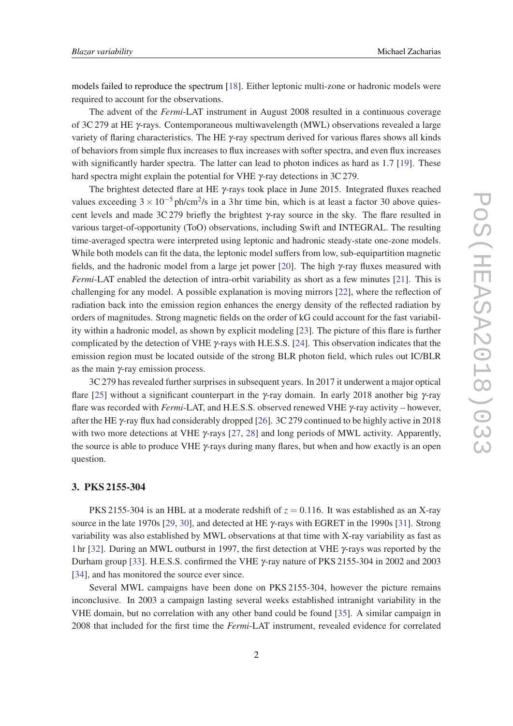models failed to reproduce the spectrum [\[18](#page-7-0)]. Either leptonic multi-zone or hadronic models were required to account for the observations.

The advent of the *Fermi*-LAT instrument in August 2008 resulted in a continuous coverage of 3C 279 at HE γ-rays. Contemporaneous multiwavelength (MWL) observations revealed a large variety of flaring characteristics. The HE γ-ray spectrum derived for various flares shows all kinds of behaviors from simple flux increases to flux increases with softer spectra, and even flux increases with significantly harder spectra. The latter can lead to photon indices as hard as 1.7 [\[19\]](#page-7-0). These hard spectra might explain the potential for VHE γ-ray detections in 3C 279.

The brightest detected flare at HE  $\gamma$ -rays took place in June 2015. Integrated fluxes reached values exceeding  $3 \times 10^{-5}$  ph/cm<sup>2</sup>/s in a 3 hr time bin, which is at least a factor 30 above quiescent levels and made 3C 279 briefly the brightest  $\gamma$ -ray source in the sky. The flare resulted in various target-of-opportunity (ToO) observations, including Swift and INTEGRAL. The resulting time-averaged spectra were interpreted using leptonic and hadronic steady-state one-zone models. While both models can fit the data, the leptonic model suffers from low, sub-equipartition magnetic fields, and the hadronic model from a large jet power [[20\]](#page-7-0). The high  $\gamma$ -ray fluxes measured with *Fermi*-LAT enabled the detection of intra-orbit variability as short as a few minutes [[21\]](#page-7-0). This is challenging for any model. A possible explanation is moving mirrors [[22\]](#page-7-0), where the reflection of radiation back into the emission region enhances the energy density of the reflected radiation by orders of magnitudes. Strong magnetic fields on the order of kG could account for the fast variability within a hadronic model, as shown by explicit modeling [\[23](#page-7-0)]. The picture of this flare is further complicated by the detection of VHE γ-rays with H.E.S.S. [[24\]](#page-7-0). This observation indicates that the emission region must be located outside of the strong BLR photon field, which rules out IC/BLR as the main γ-ray emission process.

3C 279 has revealed further surprises in subsequent years. In 2017 it underwent a major optical flare [[25\]](#page-7-0) without a significant counterpart in the γ-ray domain. In early 2018 another big γ-ray flare was recorded with *Fermi*-LAT, and H.E.S.S. observed renewed VHE γ-ray activity – however, after the HE γ-ray flux had considerably dropped [[26](#page-7-0)]. 3C 279 continued to be highly active in 2018 with two more detections at VHE  $\gamma$ -rays [[27,](#page-7-0) [28](#page-7-0)] and long periods of MWL activity. Apparently, the source is able to produce VHE  $\gamma$ -rays during many flares, but when and how exactly is an open question.

#### 3. PKS 2155-304

PKS 2155-304 is an HBL at a moderate redshift of  $z = 0.116$ . It was established as an X-ray source in the late 1970s [\[29](#page-7-0), [30](#page-7-0)], and detected at HE γ-rays with EGRET in the 1990s [\[31](#page-7-0)]. Strong variability was also established by MWL observations at that time with X-ray variability as fast as 1 hr [[32\]](#page-8-0). During an MWL outburst in 1997, the first detection at VHE γ-rays was reported by the Durham group [[33](#page-8-0)]. H.E.S.S. confirmed the VHE  $\gamma$ -ray nature of PKS 2155-304 in 2002 and 2003 [[34\]](#page-8-0), and has monitored the source ever since.

Several MWL campaigns have been done on PKS 2155-304, however the picture remains inconclusive. In 2003 a campaign lasting several weeks established intranight variability in the VHE domain, but no correlation with any other band could be found [\[35\]](#page-8-0). A similar campaign in 2008 that included for the first time the *Fermi*-LAT instrument, revealed evidence for correlated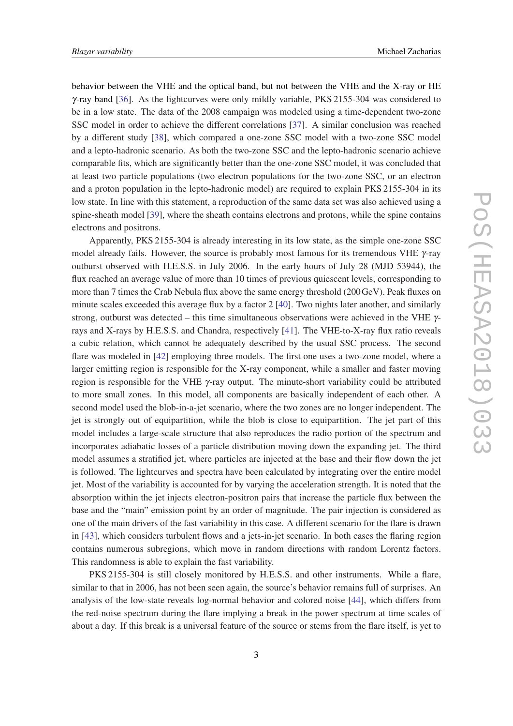behavior between the VHE and the optical band, but not between the VHE and the X-ray or HE γ-ray band [[36\]](#page-8-0). As the lightcurves were only mildly variable, PKS 2155-304 was considered to be in a low state. The data of the 2008 campaign was modeled using a time-dependent two-zone SSC model in order to achieve the different correlations [\[37](#page-8-0)]. A similar conclusion was reached by a different study [\[38](#page-8-0)], which compared a one-zone SSC model with a two-zone SSC model and a lepto-hadronic scenario. As both the two-zone SSC and the lepto-hadronic scenario achieve comparable fits, which are significantly better than the one-zone SSC model, it was concluded that at least two particle populations (two electron populations for the two-zone SSC, or an electron and a proton population in the lepto-hadronic model) are required to explain PKS 2155-304 in its low state. In line with this statement, a reproduction of the same data set was also achieved using a spine-sheath model [\[39\]](#page-8-0), where the sheath contains electrons and protons, while the spine contains electrons and positrons.

Apparently, PKS 2155-304 is already interesting in its low state, as the simple one-zone SSC model already fails. However, the source is probably most famous for its tremendous VHE γ-ray outburst observed with H.E.S.S. in July 2006. In the early hours of July 28 (MJD 53944), the flux reached an average value of more than 10 times of previous quiescent levels, corresponding to more than 7 times the Crab Nebula flux above the same energy threshold (200GeV). Peak fluxes on minute scales exceeded this average flux by a factor 2 [\[40](#page-8-0)]. Two nights later another, and similarly strong, outburst was detected – this time simultaneous observations were achieved in the VHE  $\gamma$ rays and X-rays by H.E.S.S. and Chandra, respectively [[41\]](#page-8-0). The VHE-to-X-ray flux ratio reveals a cubic relation, which cannot be adequately described by the usual SSC process. The second flare was modeled in [\[42](#page-8-0)] employing three models. The first one uses a two-zone model, where a larger emitting region is responsible for the X-ray component, while a smaller and faster moving region is responsible for the VHE γ-ray output. The minute-short variability could be attributed to more small zones. In this model, all components are basically independent of each other. A second model used the blob-in-a-jet scenario, where the two zones are no longer independent. The jet is strongly out of equipartition, while the blob is close to equipartition. The jet part of this model includes a large-scale structure that also reproduces the radio portion of the spectrum and incorporates adiabatic losses of a particle distribution moving down the expanding jet. The third model assumes a stratified jet, where particles are injected at the base and their flow down the jet is followed. The lightcurves and spectra have been calculated by integrating over the entire model jet. Most of the variability is accounted for by varying the acceleration strength. It is noted that the absorption within the jet injects electron-positron pairs that increase the particle flux between the base and the "main" emission point by an order of magnitude. The pair injection is considered as one of the main drivers of the fast variability in this case. A different scenario for the flare is drawn in [\[43](#page-8-0)], which considers turbulent flows and a jets-in-jet scenario. In both cases the flaring region contains numerous subregions, which move in random directions with random Lorentz factors. This randomness is able to explain the fast variability.

PKS 2155-304 is still closely monitored by H.E.S.S. and other instruments. While a flare, similar to that in 2006, has not been seen again, the source's behavior remains full of surprises. An analysis of the low-state reveals log-normal behavior and colored noise [[44\]](#page-8-0), which differs from the red-noise spectrum during the flare implying a break in the power spectrum at time scales of about a day. If this break is a universal feature of the source or stems from the flare itself, is yet to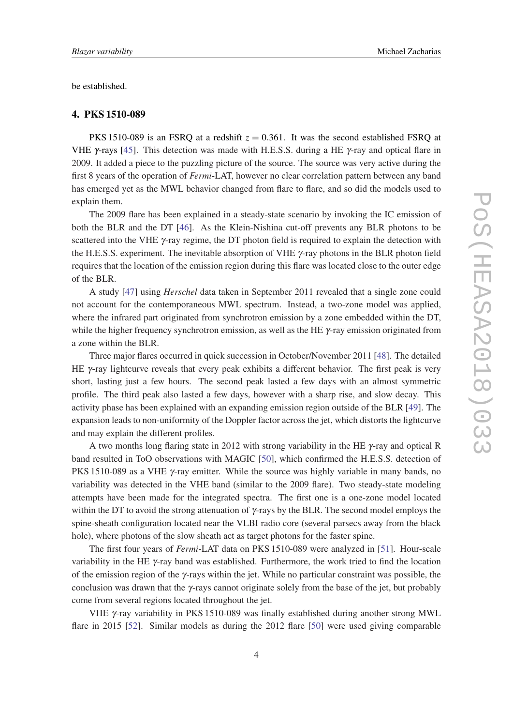be established.

#### 4. PKS 1510-089

PKS 1510-089 is an FSRQ at a redshift  $z = 0.361$ . It was the second established FSRQ at VHE  $\gamma$ -rays [\[45](#page-8-0)]. This detection was made with H.E.S.S. during a HE  $\gamma$ -ray and optical flare in 2009. It added a piece to the puzzling picture of the source. The source was very active during the first 8 years of the operation of *Fermi*-LAT, however no clear correlation pattern between any band has emerged yet as the MWL behavior changed from flare to flare, and so did the models used to explain them.

The 2009 flare has been explained in a steady-state scenario by invoking the IC emission of both the BLR and the DT [\[46](#page-8-0)]. As the Klein-Nishina cut-off prevents any BLR photons to be scattered into the VHE γ-ray regime, the DT photon field is required to explain the detection with the H.E.S.S. experiment. The inevitable absorption of VHE γ-ray photons in the BLR photon field requires that the location of the emission region during this flare was located close to the outer edge of the BLR.

A study [\[47](#page-8-0)] using *Herschel* data taken in September 2011 revealed that a single zone could not account for the contemporaneous MWL spectrum. Instead, a two-zone model was applied, where the infrared part originated from synchrotron emission by a zone embedded within the DT, while the higher frequency synchrotron emission, as well as the HE γ-ray emission originated from a zone within the BLR.

Three major flares occurred in quick succession in October/November 2011 [[48](#page-8-0)]. The detailed HE  $\gamma$ -ray lightcurve reveals that every peak exhibits a different behavior. The first peak is very short, lasting just a few hours. The second peak lasted a few days with an almost symmetric profile. The third peak also lasted a few days, however with a sharp rise, and slow decay. This activity phase has been explained with an expanding emission region outside of the BLR [\[49](#page-8-0)]. The expansion leads to non-uniformity of the Doppler factor across the jet, which distorts the lightcurve and may explain the different profiles.

A two months long flaring state in 2012 with strong variability in the HE γ-ray and optical R band resulted in ToO observations with MAGIC [[50\]](#page-8-0), which confirmed the H.E.S.S. detection of PKS 1510-089 as a VHE γ-ray emitter. While the source was highly variable in many bands, no variability was detected in the VHE band (similar to the 2009 flare). Two steady-state modeling attempts have been made for the integrated spectra. The first one is a one-zone model located within the DT to avoid the strong attenuation of  $\gamma$ -rays by the BLR. The second model employs the spine-sheath configuration located near the VLBI radio core (several parsecs away from the black hole), where photons of the slow sheath act as target photons for the faster spine.

The first four years of *Fermi*-LAT data on PKS 1510-089 were analyzed in [[51\]](#page-8-0). Hour-scale variability in the HE γ-ray band was established. Furthermore, the work tried to find the location of the emission region of the γ-rays within the jet. While no particular constraint was possible, the conclusion was drawn that the γ-rays cannot originate solely from the base of the jet, but probably come from several regions located throughout the jet.

VHE γ-ray variability in PKS 1510-089 was finally established during another strong MWL flare in 2015 [[52\]](#page-8-0). Similar models as during the 2012 flare [\[50](#page-8-0)] were used giving comparable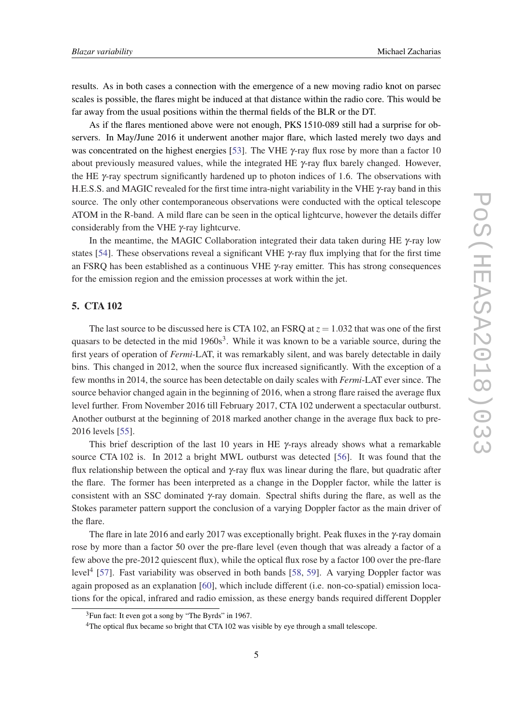results. As in both cases a connection with the emergence of a new moving radio knot on parsec scales is possible, the flares might be induced at that distance within the radio core. This would be far away from the usual positions within the thermal fields of the BLR or the DT.

As if the flares mentioned above were not enough, PKS 1510-089 still had a surprise for observers. In May/June 2016 it underwent another major flare, which lasted merely two days and was concentrated on the highest energies [[53](#page-8-0)]. The VHE γ-ray flux rose by more than a factor 10 about previously measured values, while the integrated HE  $\gamma$ -ray flux barely changed. However, the HE  $\gamma$ -ray spectrum significantly hardened up to photon indices of 1.6. The observations with H.E.S.S. and MAGIC revealed for the first time intra-night variability in the VHE γ-ray band in this source. The only other contemporaneous observations were conducted with the optical telescope ATOM in the R-band. A mild flare can be seen in the optical lightcurve, however the details differ considerably from the VHE γ-ray lightcurve.

In the meantime, the MAGIC Collaboration integrated their data taken during HE  $\gamma$ -ray low states [\[54](#page-8-0)]. These observations reveal a significant VHE  $\gamma$ -ray flux implying that for the first time an FSRQ has been established as a continuous VHE  $\gamma$ -ray emitter. This has strong consequences for the emission region and the emission processes at work within the jet.

## 5. CTA 102

The last source to be discussed here is CTA 102, an FSRO at  $z = 1.032$  that was one of the first quasars to be detected in the mid 1960s<sup>3</sup>. While it was known to be a variable source, during the first years of operation of *Fermi*-LAT, it was remarkably silent, and was barely detectable in daily bins. This changed in 2012, when the source flux increased significantly. With the exception of a few months in 2014, the source has been detectable on daily scales with *Fermi*-LAT ever since. The source behavior changed again in the beginning of 2016, when a strong flare raised the average flux level further. From November 2016 till February 2017, CTA 102 underwent a spectacular outburst. Another outburst at the beginning of 2018 marked another change in the average flux back to pre-2016 levels [\[55](#page-8-0)].

This brief description of the last 10 years in HE  $\gamma$ -rays already shows what a remarkable source CTA 102 is. In 2012 a bright MWL outburst was detected [\[56](#page-8-0)]. It was found that the flux relationship between the optical and  $\gamma$ -ray flux was linear during the flare, but quadratic after the flare. The former has been interpreted as a change in the Doppler factor, while the latter is consistent with an SSC dominated  $\gamma$ -ray domain. Spectral shifts during the flare, as well as the Stokes parameter pattern support the conclusion of a varying Doppler factor as the main driver of the flare.

The flare in late 2016 and early 2017 was exceptionally bright. Peak fluxes in the γ-ray domain rose by more than a factor 50 over the pre-flare level (even though that was already a factor of a few above the pre-2012 quiescent flux), while the optical flux rose by a factor 100 over the pre-flare level<sup>4</sup> [[57\]](#page-8-0). Fast variability was observed in both bands [[58,](#page-8-0) [59\]](#page-8-0). A varying Doppler factor was again proposed as an explanation [[60\]](#page-8-0), which include different (i.e. non-co-spatial) emission locations for the opical, infrared and radio emission, as these energy bands required different Doppler

 $3$ Fun fact: It even got a song by "The Byrds" in 1967.

<sup>&</sup>lt;sup>4</sup>The optical flux became so bright that CTA 102 was visible by eye through a small telescope.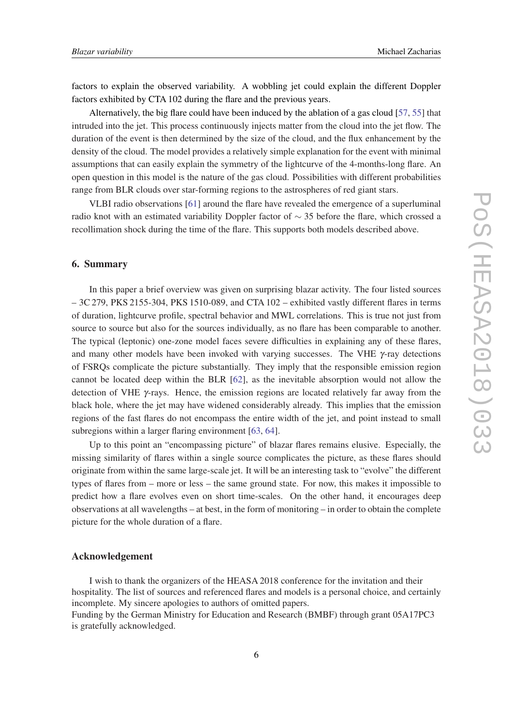factors to explain the observed variability. A wobbling jet could explain the different Doppler factors exhibited by CTA 102 during the flare and the previous years.

Alternatively, the big flare could have been induced by the ablation of a gas cloud [\[57](#page-8-0), [55](#page-8-0)] that intruded into the jet. This process continuously injects matter from the cloud into the jet flow. The duration of the event is then determined by the size of the cloud, and the flux enhancement by the density of the cloud. The model provides a relatively simple explanation for the event with minimal assumptions that can easily explain the symmetry of the lightcurve of the 4-months-long flare. An open question in this model is the nature of the gas cloud. Possibilities with different probabilities range from BLR clouds over star-forming regions to the astrospheres of red giant stars.

VLBI radio observations [\[61](#page-8-0)] around the flare have revealed the emergence of a superluminal radio knot with an estimated variability Doppler factor of ∼ 35 before the flare, which crossed a recollimation shock during the time of the flare. This supports both models described above.

#### 6. Summary

In this paper a brief overview was given on surprising blazar activity. The four listed sources – 3C 279, PKS 2155-304, PKS 1510-089, and CTA 102 – exhibited vastly different flares in terms of duration, lightcurve profile, spectral behavior and MWL correlations. This is true not just from source to source but also for the sources individually, as no flare has been comparable to another. The typical (leptonic) one-zone model faces severe difficulties in explaining any of these flares, and many other models have been invoked with varying successes. The VHE  $\gamma$ -ray detections of FSRQs complicate the picture substantially. They imply that the responsible emission region cannot be located deep within the BLR [[62\]](#page-9-0), as the inevitable absorption would not allow the detection of VHE γ-rays. Hence, the emission regions are located relatively far away from the black hole, where the jet may have widened considerably already. This implies that the emission regions of the fast flares do not encompass the entire width of the jet, and point instead to small subregions within a larger flaring environment [[63,](#page-9-0) [64\]](#page-9-0).

Up to this point an "encompassing picture" of blazar flares remains elusive. Especially, the missing similarity of flares within a single source complicates the picture, as these flares should originate from within the same large-scale jet. It will be an interesting task to "evolve" the different types of flares from – more or less – the same ground state. For now, this makes it impossible to predict how a flare evolves even on short time-scales. On the other hand, it encourages deep observations at all wavelengths – at best, in the form of monitoring – in order to obtain the complete picture for the whole duration of a flare.

#### Acknowledgement

I wish to thank the organizers of the HEASA 2018 conference for the invitation and their hospitality. The list of sources and referenced flares and models is a personal choice, and certainly incomplete. My sincere apologies to authors of omitted papers. Funding by the German Ministry for Education and Research (BMBF) through grant 05A17PC3 is gratefully acknowledged.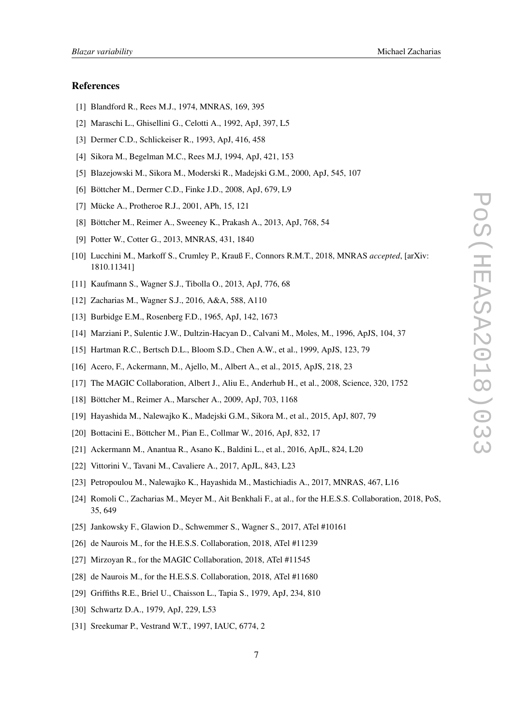#### <span id="page-7-0"></span>References

- [1] Blandford R., Rees M.J., 1974, MNRAS, 169, 395
- [2] Maraschi L., Ghisellini G., Celotti A., 1992, ApJ, 397, L5
- [3] Dermer C.D., Schlickeiser R., 1993, ApJ, 416, 458
- [4] Sikora M., Begelman M.C., Rees M.J, 1994, ApJ, 421, 153
- [5] Blazejowski M., Sikora M., Moderski R., Madejski G.M., 2000, ApJ, 545, 107
- [6] Böttcher M., Dermer C.D., Finke J.D., 2008, ApJ, 679, L9
- [7] Mücke A., Protheroe R.J., 2001, APh, 15, 121
- [8] Böttcher M., Reimer A., Sweeney K., Prakash A., 2013, ApJ, 768, 54
- [9] Potter W., Cotter G., 2013, MNRAS, 431, 1840
- [10] Lucchini M., Markoff S., Crumley P., Krauß F., Connors R.M.T., 2018, MNRAS *accepted*, [arXiv: 1810.11341]
- [11] Kaufmann S., Wagner S.J., Tibolla O., 2013, ApJ, 776, 68
- [12] Zacharias M., Wagner S.J., 2016, A&A, 588, A110
- [13] Burbidge E.M., Rosenberg F.D., 1965, ApJ, 142, 1673
- [14] Marziani P., Sulentic J.W., Dultzin-Hacyan D., Calvani M., Moles, M., 1996, ApJS, 104, 37
- [15] Hartman R.C., Bertsch D.L., Bloom S.D., Chen A.W., et al., 1999, ApJS, 123, 79
- [16] Acero, F., Ackermann, M., Ajello, M., Albert A., et al., 2015, ApJS, 218, 23
- [17] The MAGIC Collaboration, Albert J., Aliu E., Anderhub H., et al., 2008, Science, 320, 1752
- [18] Böttcher M., Reimer A., Marscher A., 2009, ApJ, 703, 1168
- [19] Hayashida M., Nalewajko K., Madejski G.M., Sikora M., et al., 2015, ApJ, 807, 79
- [20] Bottacini E., Böttcher M., Pian E., Collmar W., 2016, ApJ, 832, 17
- [21] Ackermann M., Anantua R., Asano K., Baldini L., et al., 2016, ApJL, 824, L20
- [22] Vittorini V., Tavani M., Cavaliere A., 2017, ApJL, 843, L23
- [23] Petropoulou M., Nalewajko K., Hayashida M., Mastichiadis A., 2017, MNRAS, 467, L16
- [24] Romoli C., Zacharias M., Meyer M., Ait Benkhali F., at al., for the H.E.S.S. Collaboration, 2018, PoS, 35, 649
- [25] Jankowsky F., Glawion D., Schwemmer S., Wagner S., 2017, ATel #10161
- [26] de Naurois M., for the H.E.S.S. Collaboration, 2018, ATel #11239
- [27] Mirzoyan R., for the MAGIC Collaboration, 2018, ATel #11545
- [28] de Naurois M., for the H.E.S.S. Collaboration, 2018, ATel #11680
- [29] Griffiths R.E., Briel U., Chaisson L., Tapia S., 1979, ApJ, 234, 810
- [30] Schwartz D.A., 1979, ApJ, 229, L53
- [31] Sreekumar P., Vestrand W.T., 1997, IAUC, 6774, 2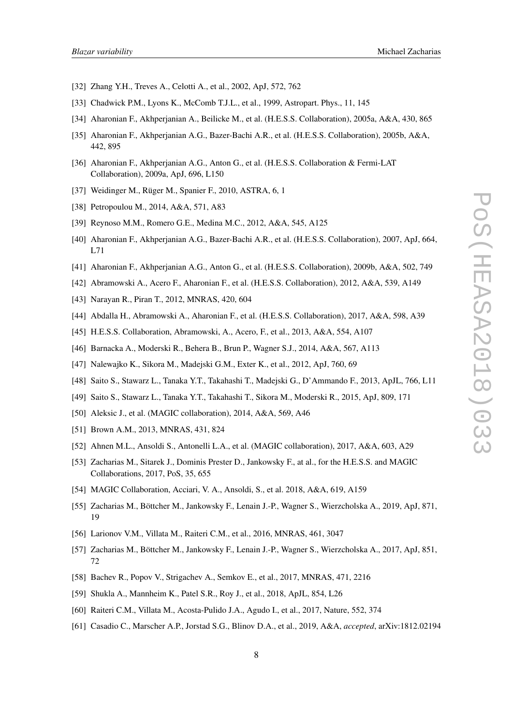- <span id="page-8-0"></span>[32] Zhang Y.H., Treves A., Celotti A., et al., 2002, ApJ, 572, 762
- [33] Chadwick P.M., Lyons K., McComb T.J.L., et al., 1999, Astropart. Phys., 11, 145
- [34] Aharonian F., Akhperjanian A., Beilicke M., et al. (H.E.S.S. Collaboration), 2005a, A&A, 430, 865
- [35] Aharonian F., Akhperjanian A.G., Bazer-Bachi A.R., et al. (H.E.S.S. Collaboration), 2005b, A&A, 442, 895
- [36] Aharonian F., Akhperjanian A.G., Anton G., et al. (H.E.S.S. Collaboration & Fermi-LAT Collaboration), 2009a, ApJ, 696, L150
- [37] Weidinger M., Rüger M., Spanier F., 2010, ASTRA, 6, 1
- [38] Petropoulou M., 2014, A&A, 571, A83
- [39] Reynoso M.M., Romero G.E., Medina M.C., 2012, A&A, 545, A125
- [40] Aharonian F., Akhperjanian A.G., Bazer-Bachi A.R., et al. (H.E.S.S. Collaboration), 2007, ApJ, 664, L71
- [41] Aharonian F., Akhperjanian A.G., Anton G., et al. (H.E.S.S. Collaboration), 2009b, A&A, 502, 749
- [42] Abramowski A., Acero F., Aharonian F., et al. (H.E.S.S. Collaboration), 2012, A&A, 539, A149
- [43] Narayan R., Piran T., 2012, MNRAS, 420, 604
- [44] Abdalla H., Abramowski A., Aharonian F., et al. (H.E.S.S. Collaboration), 2017, A&A, 598, A39
- [45] H.E.S.S. Collaboration, Abramowski, A., Acero, F., et al., 2013, A&A, 554, A107
- [46] Barnacka A., Moderski R., Behera B., Brun P., Wagner S.J., 2014, A&A, 567, A113
- [47] Nalewajko K., Sikora M., Madejski G.M., Exter K., et al., 2012, ApJ, 760, 69
- [48] Saito S., Stawarz L., Tanaka Y.T., Takahashi T., Madejski G., D'Ammando F., 2013, ApJL, 766, L11
- [49] Saito S., Stawarz L., Tanaka Y.T., Takahashi T., Sikora M., Moderski R., 2015, ApJ, 809, 171
- [50] Aleksic J., et al. (MAGIC collaboration), 2014, A&A, 569, A46
- [51] Brown A.M., 2013, MNRAS, 431, 824
- [52] Ahnen M.L., Ansoldi S., Antonelli L.A., et al. (MAGIC collaboration), 2017, A&A, 603, A29
- [53] Zacharias M., Sitarek J., Dominis Prester D., Jankowsky F., at al., for the H.E.S.S. and MAGIC Collaborations, 2017, PoS, 35, 655
- [54] MAGIC Collaboration, Acciari, V. A., Ansoldi, S., et al. 2018, A&A, 619, A159
- [55] Zacharias M., Böttcher M., Jankowsky F., Lenain J.-P., Wagner S., Wierzcholska A., 2019, ApJ, 871, 19
- [56] Larionov V.M., Villata M., Raiteri C.M., et al., 2016, MNRAS, 461, 3047
- [57] Zacharias M., Böttcher M., Jankowsky F., Lenain J.-P., Wagner S., Wierzcholska A., 2017, ApJ, 851, 72
- [58] Bachev R., Popov V., Strigachev A., Semkov E., et al., 2017, MNRAS, 471, 2216
- [59] Shukla A., Mannheim K., Patel S.R., Roy J., et al., 2018, ApJL, 854, L26
- [60] Raiteri C.M., Villata M., Acosta-Pulido J.A., Agudo I., et al., 2017, Nature, 552, 374
- [61] Casadio C., Marscher A.P., Jorstad S.G., Blinov D.A., et al., 2019, A&A, *accepted*, arXiv:1812.02194